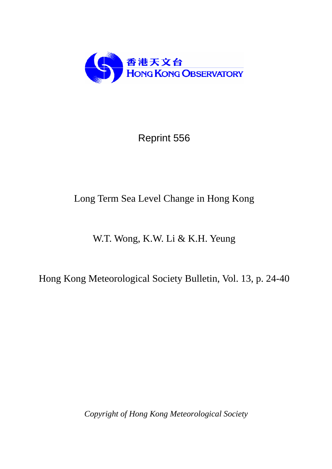

Reprint 556

# Long Term Sea Level Change in Hong Kong

# W.T. Wong, K.W. Li & K.H. Yeung

Hong Kong Meteorological Society Bulletin, Vol. 13, p. 24-40

*Copyright of Hong Kong Meteorological Society*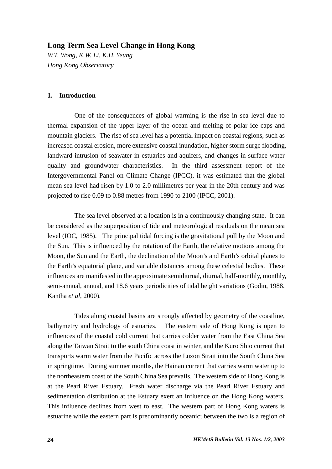# **Long Term Sea Level Change in Hong Kong**

*W.T. Wong, K.W. Li, K.H. Yeung Hong Kong Observatory* 

#### **1. Introduction**

One of the consequences of global warming is the rise in sea level due to thermal expansion of the upper layer of the ocean and melting of polar ice caps and mountain glaciers. The rise of sea level has a potential impact on coastal regions, such as increased coastal erosion, more extensive coastal inundation, higher storm surge flooding, landward intrusion of seawater in estuaries and aquifers, and changes in surface water quality and groundwater characteristics. In the third assessment report of the Intergovernmental Panel on Climate Change (IPCC), it was estimated that the global mean sea level had risen by 1.0 to 2.0 millimetres per year in the 20th century and was projected to rise 0.09 to 0.88 metres from 1990 to 2100 (IPCC, 2001).

The sea level observed at a location is in a continuously changing state. It can be considered as the superposition of tide and meteorological residuals on the mean sea level (IOC, 1985). The principal tidal forcing is the gravitational pull by the Moon and the Sun. This is influenced by the rotation of the Earth, the relative motions among the Moon, the Sun and the Earth, the declination of the Moon's and Earth's orbital planes to the Earth's equatorial plane, and variable distances among these celestial bodies. These influences are manifested in the approximate semidiurnal, diurnal, half-monthly, monthly, semi-annual, annual, and 18.6 years periodicities of tidal height variations (Godin, 1988. Kantha *et al*, 2000).

Tides along coastal basins are strongly affected by geometry of the coastline, bathymetry and hydrology of estuaries. The eastern side of Hong Kong is open to influences of the coastal cold current that carries colder water from the East China Sea along the Taiwan Strait to the south China coast in winter, and the Kuro Shio current that transports warm water from the Pacific across the Luzon Strait into the South China Sea in springtime. During summer months, the Hainan current that carries warm water up to the northeastern coast of the South China Sea prevails. The western side of Hong Kong is at the Pearl River Estuary. Fresh water discharge via the Pearl River Estuary and sedimentation distribution at the Estuary exert an influence on the Hong Kong waters. This influence declines from west to east. The western part of Hong Kong waters is estuarine while the eastern part is predominantly oceanic; between the two is a region of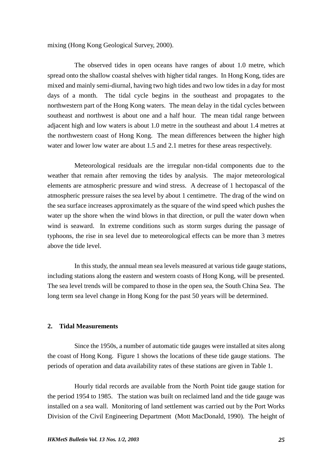mixing (Hong Kong Geological Survey, 2000).

The observed tides in open oceans have ranges of about 1.0 metre, which spread onto the shallow coastal shelves with higher tidal ranges. In Hong Kong, tides are mixed and mainly semi-diurnal, having two high tides and two low tides in a day for most days of a month. The tidal cycle begins in the southeast and propagates to the northwestern part of the Hong Kong waters. The mean delay in the tidal cycles between southeast and northwest is about one and a half hour. The mean tidal range between adjacent high and low waters is about 1.0 metre in the southeast and about 1.4 metres at the northwestern coast of Hong Kong. The mean differences between the higher high water and lower low water are about 1.5 and 2.1 metres for these areas respectively.

Meteorological residuals are the irregular non-tidal components due to the weather that remain after removing the tides by analysis. The major meteorological elements are atmospheric pressure and wind stress. A decrease of 1 hectopascal of the atmospheric pressure raises the sea level by about 1 centimetre. The drag of the wind on the sea surface increases approximately as the square of the wind speed which pushes the water up the shore when the wind blows in that direction, or pull the water down when wind is seaward. In extreme conditions such as storm surges during the passage of typhoons, the rise in sea level due to meteorological effects can be more than 3 metres above the tide level.

In this study, the annual mean sea levels measured at various tide gauge stations, including stations along the eastern and western coasts of Hong Kong, will be presented. The sea level trends will be compared to those in the open sea, the South China Sea. The long term sea level change in Hong Kong for the past 50 years will be determined.

### **2. Tidal Measurements**

Since the 1950s, a number of automatic tide gauges were installed at sites along the coast of Hong Kong. Figure 1 shows the locations of these tide gauge stations. The periods of operation and data availability rates of these stations are given in Table 1.

Hourly tidal records are available from the North Point tide gauge station for the period 1954 to 1985. The station was built on reclaimed land and the tide gauge was installed on a sea wall. Monitoring of land settlement was carried out by the Port Works Division of the Civil Engineering Department (Mott MacDonald, 1990). The height of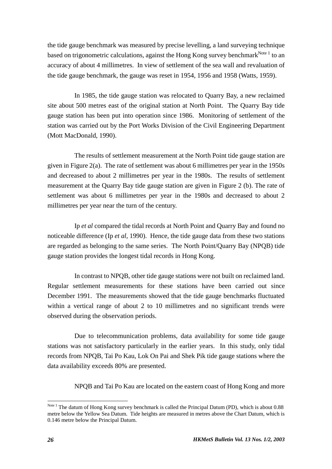the tide gauge benchmark was measured by precise levelling, a land surveying technique based on trigonometric calculations, against the Hong Kong survey benchmark<sup>Note 1</sup> to an accuracy of about 4 millimetres. In view of settlement of the sea wall and revaluation of the tide gauge benchmark, the gauge was reset in 1954, 1956 and 1958 (Watts, 1959).

In 1985, the tide gauge station was relocated to Quarry Bay, a new reclaimed site about 500 metres east of the original station at North Point. The Quarry Bay tide gauge station has been put into operation since 1986. Monitoring of settlement of the station was carried out by the Port Works Division of the Civil Engineering Department (Mott MacDonald, 1990).

The results of settlement measurement at the North Point tide gauge station are given in Figure 2(a). The rate of settlement was about 6 millimetres per year in the 1950s and decreased to about 2 millimetres per year in the 1980s. The results of settlement measurement at the Quarry Bay tide gauge station are given in Figure 2 (b). The rate of settlement was about 6 millimetres per year in the 1980s and decreased to about 2 millimetres per year near the turn of the century.

Ip *et al* compared the tidal records at North Point and Quarry Bay and found no noticeable difference (Ip *et al*, 1990). Hence, the tide gauge data from these two stations are regarded as belonging to the same series. The North Point/Quarry Bay (NPQB) tide gauge station provides the longest tidal records in Hong Kong.

In contrast to NPQB, other tide gauge stations were not built on reclaimed land. Regular settlement measurements for these stations have been carried out since December 1991. The measurements showed that the tide gauge benchmarks fluctuated within a vertical range of about 2 to 10 millimetres and no significant trends were observed during the observation periods.

Due to telecommunication problems, data availability for some tide gauge stations was not satisfactory particularly in the earlier years. In this study, only tidal records from NPQB, Tai Po Kau, Lok On Pai and Shek Pik tide gauge stations where the data availability exceeds 80% are presented.

NPQB and Tai Po Kau are located on the eastern coast of Hong Kong and more

 $\overline{a}$ 

Note <sup>1</sup> The datum of Hong Kong survey benchmark is called the Principal Datum (PD), which is about 0.88 metre below the Yellow Sea Datum. Tide heights are measured in metres above the Chart Datum, which is 0.146 metre below the Principal Datum.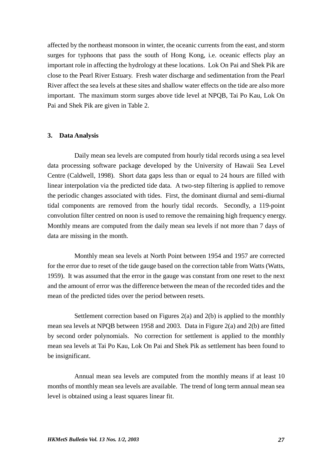affected by the northeast monsoon in winter, the oceanic currents from the east, and storm surges for typhoons that pass the south of Hong Kong, i.e. oceanic effects play an important role in affecting the hydrology at these locations. Lok On Pai and Shek Pik are close to the Pearl River Estuary. Fresh water discharge and sedimentation from the Pearl River affect the sea levels at these sites and shallow water effects on the tide are also more important. The maximum storm surges above tide level at NPQB, Tai Po Kau, Lok On Pai and Shek Pik are given in Table 2.

#### **3. Data Analysis**

Daily mean sea levels are computed from hourly tidal records using a sea level data processing software package developed by the University of Hawaii Sea Level Centre (Caldwell, 1998). Short data gaps less than or equal to 24 hours are filled with linear interpolation via the predicted tide data. A two-step filtering is applied to remove the periodic changes associated with tides. First, the dominant diurnal and semi-diurnal tidal components are removed from the hourly tidal records. Secondly, a 119-point convolution filter centred on noon is used to remove the remaining high frequency energy. Monthly means are computed from the daily mean sea levels if not more than 7 days of data are missing in the month.

Monthly mean sea levels at North Point between 1954 and 1957 are corrected for the error due to reset of the tide gauge based on the correction table from Watts (Watts, 1959). It was assumed that the error in the gauge was constant from one reset to the next and the amount of error was the difference between the mean of the recorded tides and the mean of the predicted tides over the period between resets.

Settlement correction based on Figures 2(a) and 2(b) is applied to the monthly mean sea levels at NPQB between 1958 and 2003. Data in Figure 2(a) and 2(b) are fitted by second order polynomials. No correction for settlement is applied to the monthly mean sea levels at Tai Po Kau, Lok On Pai and Shek Pik as settlement has been found to be insignificant.

Annual mean sea levels are computed from the monthly means if at least 10 months of monthly mean sea levels are available. The trend of long term annual mean sea level is obtained using a least squares linear fit.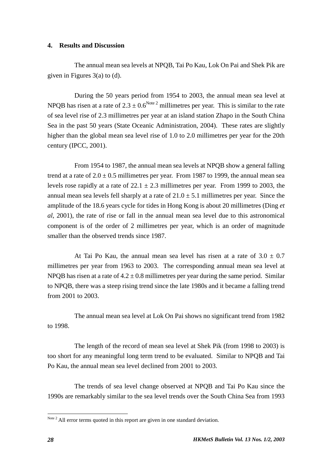#### **4. Results and Discussion**

The annual mean sea levels at NPQB, Tai Po Kau, Lok On Pai and Shek Pik are given in Figures 3(a) to (d).

During the 50 years period from 1954 to 2003, the annual mean sea level at NPQB has risen at a rate of  $2.3 \pm 0.6^{Note 2}$  millimetres per year. This is similar to the rate of sea level rise of 2.3 millimetres per year at an island station Zhapo in the South China Sea in the past 50 years (State Oceanic Administration, 2004). These rates are slightly higher than the global mean sea level rise of 1.0 to 2.0 millimetres per year for the 20th century (IPCC, 2001).

From 1954 to 1987, the annual mean sea levels at NPQB show a general falling trend at a rate of  $2.0 \pm 0.5$  millimetres per year. From 1987 to 1999, the annual mean sea levels rose rapidly at a rate of  $22.1 \pm 2.3$  millimetres per year. From 1999 to 2003, the annual mean sea levels fell sharply at a rate of  $21.0 \pm 5.1$  millimetres per year. Since the amplitude of the 18.6 years cycle for tides in Hong Kong is about 20 millimetres (Ding *et al*, 2001), the rate of rise or fall in the annual mean sea level due to this astronomical component is of the order of 2 millimetres per year, which is an order of magnitude smaller than the observed trends since 1987.

At Tai Po Kau, the annual mean sea level has risen at a rate of  $3.0 \pm 0.7$ millimetres per year from 1963 to 2003. The corresponding annual mean sea level at NPQB has risen at a rate of  $4.2 \pm 0.8$  millimetres per year during the same period. Similar to NPQB, there was a steep rising trend since the late 1980s and it became a falling trend from 2001 to 2003.

The annual mean sea level at Lok On Pai shows no significant trend from 1982 to 1998.

The length of the record of mean sea level at Shek Pik (from 1998 to 2003) is too short for any meaningful long term trend to be evaluated. Similar to NPQB and Tai Po Kau, the annual mean sea level declined from 2001 to 2003.

The trends of sea level change observed at NPQB and Tai Po Kau since the 1990s are remarkably similar to the sea level trends over the South China Sea from 1993

 $\overline{a}$ 

Note<sup>2</sup> All error terms quoted in this report are given in one standard deviation.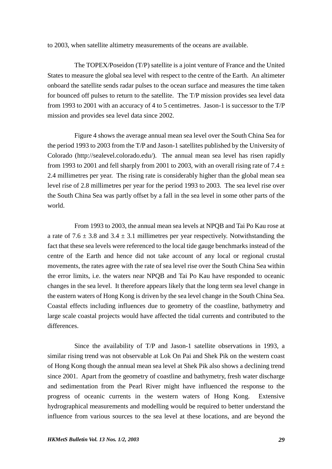to 2003, when satellite altimetry measurements of the oceans are available.

The TOPEX/Poseidon (T/P) satellite is a joint venture of France and the United States to measure the global sea level with respect to the centre of the Earth. An altimeter onboard the satellite sends radar pulses to the ocean surface and measures the time taken for bounced off pulses to return to the satellite. The T/P mission provides sea level data from 1993 to 2001 with an accuracy of 4 to 5 centimetres. Jason-1 is successor to the T/P mission and provides sea level data since 2002.

Figure 4 shows the average annual mean sea level over the South China Sea for the period 1993 to 2003 from the T/P and Jason-1 satellites published by the University of Colorado (http://sealevel.colorado.edu/). The annual mean sea level has risen rapidly from 1993 to 2001 and fell sharply from 2001 to 2003, with an overall rising rate of 7.4  $\pm$ 2.4 millimetres per year. The rising rate is considerably higher than the global mean sea level rise of 2.8 millimetres per year for the period 1993 to 2003. The sea level rise over the South China Sea was partly offset by a fall in the sea level in some other parts of the world.

From 1993 to 2003, the annual mean sea levels at NPQB and Tai Po Kau rose at a rate of 7.6  $\pm$  3.8 and 3.4  $\pm$  3.1 millimetres per year respectively. Notwithstanding the fact that these sea levels were referenced to the local tide gauge benchmarks instead of the centre of the Earth and hence did not take account of any local or regional crustal movements, the rates agree with the rate of sea level rise over the South China Sea within the error limits, i.e. the waters near NPQB and Tai Po Kau have responded to oceanic changes in the sea level. It therefore appears likely that the long term sea level change in the eastern waters of Hong Kong is driven by the sea level change in the South China Sea. Coastal effects including influences due to geometry of the coastline, bathymetry and large scale coastal projects would have affected the tidal currents and contributed to the differences.

Since the availability of T/P and Jason-1 satellite observations in 1993, a similar rising trend was not observable at Lok On Pai and Shek Pik on the western coast of Hong Kong though the annual mean sea level at Shek Pik also shows a declining trend since 2001. Apart from the geometry of coastline and bathymetry, fresh water discharge and sedimentation from the Pearl River might have influenced the response to the progress of oceanic currents in the western waters of Hong Kong. Extensive hydrographical measurements and modelling would be required to better understand the influence from various sources to the sea level at these locations, and are beyond the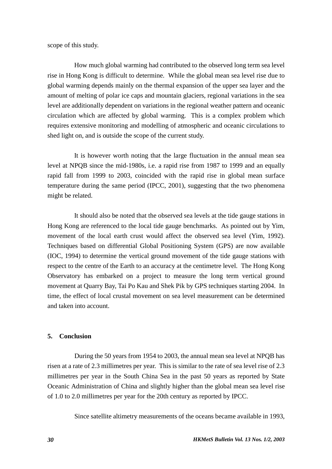scope of this study.

How much global warming had contributed to the observed long term sea level rise in Hong Kong is difficult to determine. While the global mean sea level rise due to global warming depends mainly on the thermal expansion of the upper sea layer and the amount of melting of polar ice caps and mountain glaciers, regional variations in the sea level are additionally dependent on variations in the regional weather pattern and oceanic circulation which are affected by global warming. This is a complex problem which requires extensive monitoring and modelling of atmospheric and oceanic circulations to shed light on, and is outside the scope of the current study.

It is however worth noting that the large fluctuation in the annual mean sea level at NPQB since the mid-1980s, i.e. a rapid rise from 1987 to 1999 and an equally rapid fall from 1999 to 2003, coincided with the rapid rise in global mean surface temperature during the same period (IPCC, 2001), suggesting that the two phenomena might be related.

It should also be noted that the observed sea levels at the tide gauge stations in Hong Kong are referenced to the local tide gauge benchmarks. As pointed out by Yim, movement of the local earth crust would affect the observed sea level (Yim, 1992). Techniques based on differential Global Positioning System (GPS) are now available (IOC, 1994) to determine the vertical ground movement of the tide gauge stations with respect to the centre of the Earth to an accuracy at the centimetre level. The Hong Kong Observatory has embarked on a project to measure the long term vertical ground movement at Quarry Bay, Tai Po Kau and Shek Pik by GPS techniques starting 2004. In time, the effect of local crustal movement on sea level measurement can be determined and taken into account.

### **5. Conclusion**

During the 50 years from 1954 to 2003, the annual mean sea level at NPQB has risen at a rate of 2.3 millimetres per year. This is similar to the rate of sea level rise of 2.3 millimetres per year in the South China Sea in the past 50 years as reported by State Oceanic Administration of China and slightly higher than the global mean sea level rise of 1.0 to 2.0 millimetres per year for the 20th century as reported by IPCC.

Since satellite altimetry measurements of the oceans became available in 1993,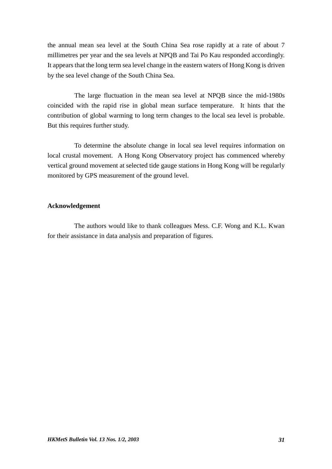the annual mean sea level at the South China Sea rose rapidly at a rate of about 7 millimetres per year and the sea levels at NPQB and Tai Po Kau responded accordingly. It appears that the long term sea level change in the eastern waters of Hong Kong is driven by the sea level change of the South China Sea.

The large fluctuation in the mean sea level at NPQB since the mid-1980s coincided with the rapid rise in global mean surface temperature. It hints that the contribution of global warming to long term changes to the local sea level is probable. But this requires further study.

To determine the absolute change in local sea level requires information on local crustal movement. A Hong Kong Observatory project has commenced whereby vertical ground movement at selected tide gauge stations in Hong Kong will be regularly monitored by GPS measurement of the ground level.

## **Acknowledgement**

 The authors would like to thank colleagues Mess. C.F. Wong and K.L. Kwan for their assistance in data analysis and preparation of figures.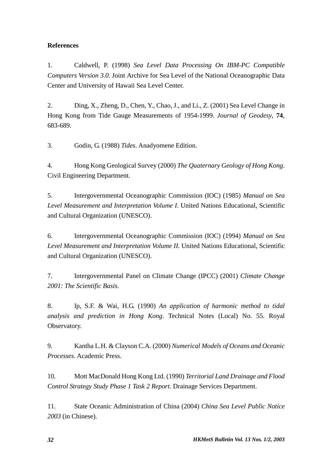# **References**

1. Caldwell, P. (1998) *Sea Level Data Processing On IBM-PC Compatible Computers Version 3.0*. Joint Archive for Sea Level of the National Oceanographic Data Center and University of Hawaii Sea Level Center.

2. Ding, X., Zheng, D., Chen, Y., Chao, J., and Li., Z. (2001) Sea Level Change in Hong Kong from Tide Gauge Measurements of 1954-1999. *Journal of Geodesy*, **74**, 683-689.

3. Godin, G. (1988) *Tides*. Anadyomene Edition.

4. Hong Kong Geological Survey (2000) *The Quaternary Geology of Hong Kong*. Civil Engineering Department.

5. Intergovernmental Oceanographic Commission (IOC) (1985) *Manual on Sea Level Measurement and Interpretation Volume I*. United Nations Educational, Scientific and Cultural Organization (UNESCO).

6. Intergovernmental Oceanographic Commission (IOC) (1994) *Manual on Sea Level Measurement and Interpretation Volume II*. United Nations Educational, Scientific and Cultural Organization (UNESCO).

7. Intergovernmental Panel on Climate Change (IPCC) (2001) *Climate Change 2001: The Scientific Basis*.

8. Ip, S.F. & Wai, H.G. (1990) *An application of harmonic method to tidal analysis and prediction in Hong Kong*. Technical Notes (Local) No. 55. Royal Observatory.

9. Kantha L.H. & Clayson C.A. (2000) *Numerical Models of Oceans and Oceanic Processes*. Academic Press.

10. Mott MacDonald Hong Kong Ltd. (1990) *Territorial Land Drainage and Flood Control Strategy Study Phase 1 Task 2 Report*. Drainage Services Department.

11. State Oceanic Administration of China (2004) *China Sea Level Public Notice 2003* (in Chinese).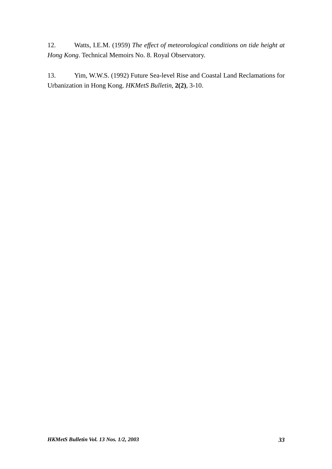12. Watts, I.E.M. (1959) *The effect of meteorological conditions on tide height at Hong Kong*. Technical Memoirs No. 8. Royal Observatory.

13. Yim, W.W.S. (1992) Future Sea-level Rise and Coastal Land Reclamations for Urbanization in Hong Kong. *HKMetS Bulletin*, **2(2)**, 3-10.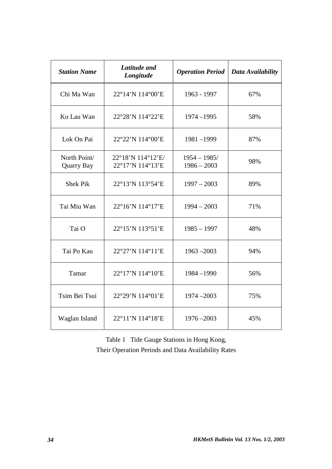| <b>Station Name</b>               | Latitude and<br>Longitude             | <b>Operation Period</b>         | Data Availability |
|-----------------------------------|---------------------------------------|---------------------------------|-------------------|
| Chi Ma Wan                        | 22°14'N 114°00'E                      | 1963 - 1997                     | 67%               |
| Ko Lau Wan                        | 22°28'N 114°22'E                      | $1974 - 1995$                   | 58%               |
| Lok On Pai                        | 22°22'N 114°00'E                      | 1981-1999                       | 87%               |
| North Point/<br><b>Quarry Bay</b> | 22°18'N 114°12'E/<br>22°17'N 114°13'E | $1954 - 1985/$<br>$1986 - 2003$ | 98%               |
| <b>Shek Pik</b>                   | 22°13'N 113°54'E                      | $1997 - 2003$                   | 89%               |
| Tai Miu Wan                       | 22°16'N 114°17'E                      | $1994 - 2003$                   | 71%               |
| Tai O                             | 22°15'N 113°51'E                      | $1985 - 1997$                   | 48%               |
| Tai Po Kau                        | 22°27'N 114°11'E                      | $1963 - 2003$                   | 94%               |
| Tamar                             | 22°17'N 114°10'E                      | 1984-1990                       | 56%               |
| Tsim Bei Tsui                     | 22°29'N 114°01'E                      | $1974 - 2003$                   | 75%               |
| Waglan Island                     | 22°11'N 114°18'E                      | $1976 - 2003$                   | 45%               |

Table 1 Tide Gauge Stations in Hong Kong, Their Operation Periods and Data Availability Rates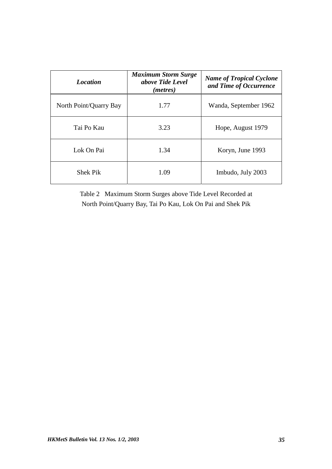| <b>Location</b>        | <b>Maximum Storm Surge</b><br>above Tide Level<br>( <i>metres</i> ) | <b>Name of Tropical Cyclone</b><br>and Time of Occurrence |
|------------------------|---------------------------------------------------------------------|-----------------------------------------------------------|
| North Point/Quarry Bay | 1.77                                                                | Wanda, September 1962                                     |
| Tai Po Kau             | 3.23                                                                | Hope, August 1979                                         |
| Lok On Pai             | 1.34                                                                | Koryn, June 1993                                          |
| <b>Shek Pik</b>        | 1.09                                                                | Imbudo, July 2003                                         |

Table 2 Maximum Storm Surges above Tide Level Recorded at North Point/Quarry Bay, Tai Po Kau, Lok On Pai and Shek Pik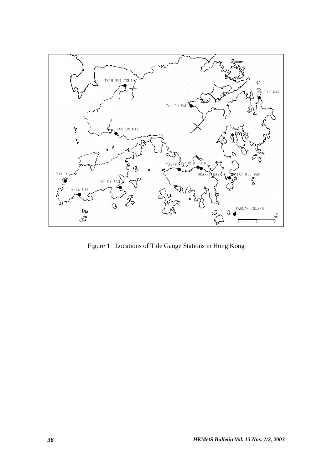

Figure 1 Locations of Tide Gauge Stations in Hong Kong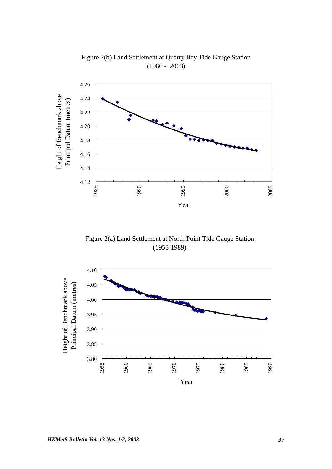

Figure 2(b) Land Settlement at Quarry Bay Tide Gauge Station (1986 - 2003)

Figure 2(a) Land Settlement at North Point Tide Gauge Station (1955-1989)

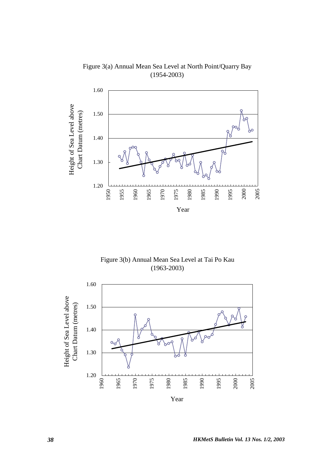

Figure 3(a) Annual Mean Sea Level at North Point/Quarry Bay (1954-2003)

Figure 3(b) Annual Mean Sea Level at Tai Po Kau (1963-2003)

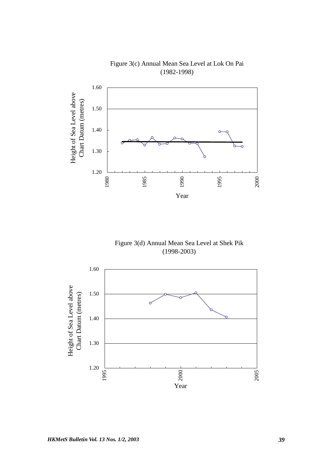

Figure 3(c) Annual Mean Sea Level at Lok On Pai (1982-1998)